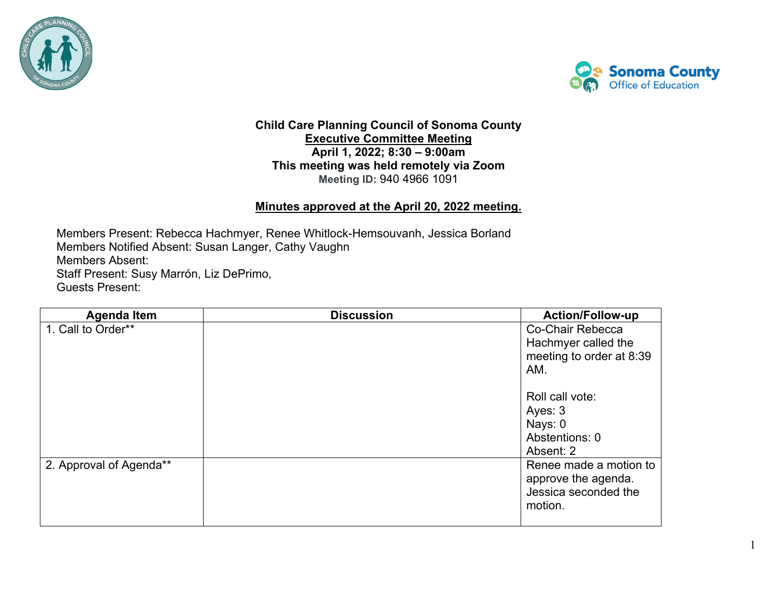



1

## **Child Care Planning Council of Sonoma County Executive Committee Meeting April 1, 2022; 8:30 – 9:00am This meeting was held remotely via Zoom Meeting ID:** 940 4966 1091

## **Minutes approved at the April 20, 2022 meeting.**

Members Present: Rebecca Hachmyer, Renee Whitlock-Hemsouvanh, Jessica Borland Members Notified Absent: Susan Langer, Cathy Vaughn Members Absent: Staff Present: Susy Marrón, Liz DePrimo, Guests Present:

| <b>Agenda Item</b>      | <b>Discussion</b> | <b>Action/Follow-up</b>                                                          |
|-------------------------|-------------------|----------------------------------------------------------------------------------|
| 1. Call to Order**      |                   | Co-Chair Rebecca<br>Hachmyer called the<br>meeting to order at 8:39<br>AM.       |
|                         |                   | Roll call vote:<br>Ayes: 3<br>Nays: 0<br>Abstentions: 0<br>Absent: 2             |
| 2. Approval of Agenda** |                   | Renee made a motion to<br>approve the agenda.<br>Jessica seconded the<br>motion. |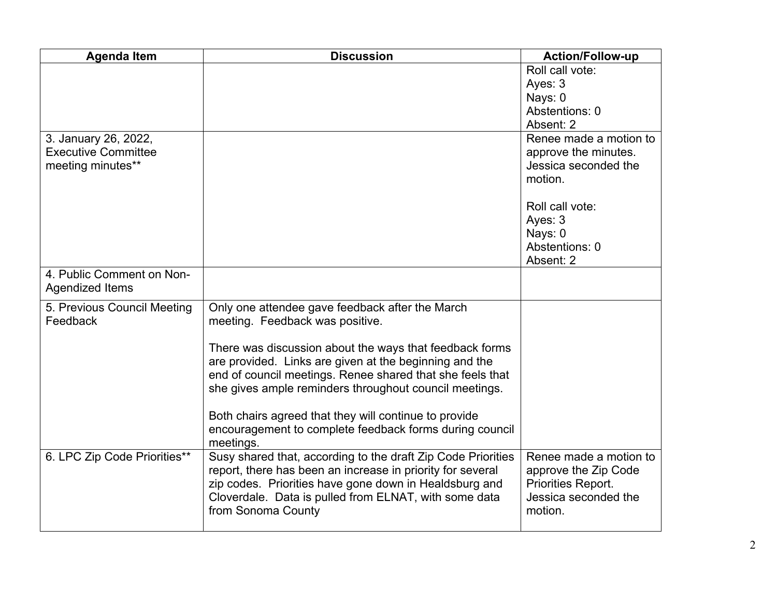| <b>Agenda Item</b>           | <b>Discussion</b>                                            | <b>Action/Follow-up</b> |
|------------------------------|--------------------------------------------------------------|-------------------------|
|                              |                                                              | Roll call vote:         |
|                              |                                                              | Ayes: 3                 |
|                              |                                                              | Nays: 0                 |
|                              |                                                              | Abstentions: 0          |
|                              |                                                              | Absent: 2               |
| 3. January 26, 2022,         |                                                              | Renee made a motion to  |
| <b>Executive Committee</b>   |                                                              | approve the minutes.    |
| meeting minutes**            |                                                              | Jessica seconded the    |
|                              |                                                              | motion.                 |
|                              |                                                              |                         |
|                              |                                                              | Roll call vote:         |
|                              |                                                              | Ayes: 3                 |
|                              |                                                              | Nays: 0                 |
|                              |                                                              | Abstentions: 0          |
|                              |                                                              | Absent: 2               |
| 4. Public Comment on Non-    |                                                              |                         |
| Agendized Items              |                                                              |                         |
| 5. Previous Council Meeting  | Only one attendee gave feedback after the March              |                         |
| Feedback                     | meeting. Feedback was positive.                              |                         |
|                              |                                                              |                         |
|                              | There was discussion about the ways that feedback forms      |                         |
|                              | are provided. Links are given at the beginning and the       |                         |
|                              | end of council meetings. Renee shared that she feels that    |                         |
|                              | she gives ample reminders throughout council meetings.       |                         |
|                              |                                                              |                         |
|                              | Both chairs agreed that they will continue to provide        |                         |
|                              | encouragement to complete feedback forms during council      |                         |
|                              | meetings.                                                    |                         |
| 6. LPC Zip Code Priorities** | Susy shared that, according to the draft Zip Code Priorities | Renee made a motion to  |
|                              | report, there has been an increase in priority for several   | approve the Zip Code    |
|                              | zip codes. Priorities have gone down in Healdsburg and       | Priorities Report.      |
|                              | Cloverdale. Data is pulled from ELNAT, with some data        | Jessica seconded the    |
|                              | from Sonoma County                                           | motion.                 |
|                              |                                                              |                         |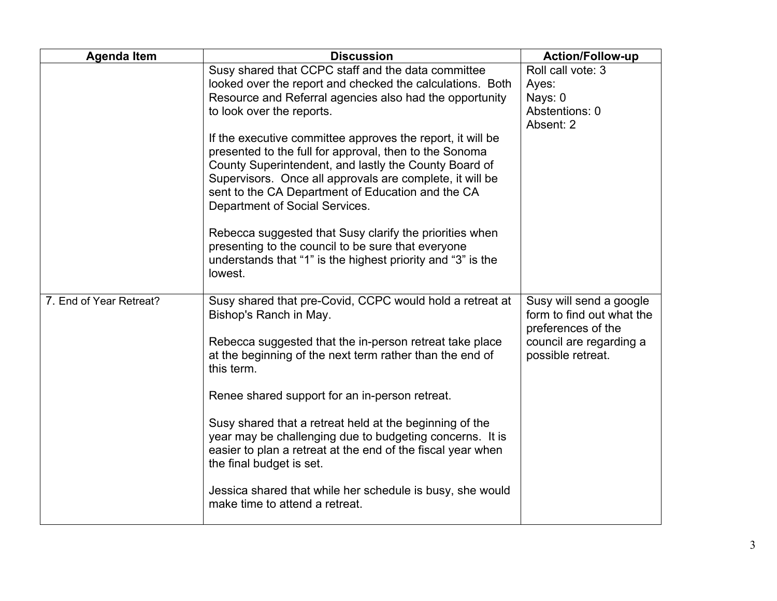| <b>Agenda Item</b>      | <b>Discussion</b>                                                                                                                                                                                                                                                                                                                | Action/Follow-up                                                                                      |
|-------------------------|----------------------------------------------------------------------------------------------------------------------------------------------------------------------------------------------------------------------------------------------------------------------------------------------------------------------------------|-------------------------------------------------------------------------------------------------------|
|                         | Susy shared that CCPC staff and the data committee<br>looked over the report and checked the calculations. Both<br>Resource and Referral agencies also had the opportunity<br>to look over the reports.                                                                                                                          | Roll call vote: 3<br>Ayes:<br>Nays: 0<br>Abstentions: 0<br>Absent: 2                                  |
|                         | If the executive committee approves the report, it will be<br>presented to the full for approval, then to the Sonoma<br>County Superintendent, and lastly the County Board of<br>Supervisors. Once all approvals are complete, it will be<br>sent to the CA Department of Education and the CA<br>Department of Social Services. |                                                                                                       |
|                         | Rebecca suggested that Susy clarify the priorities when<br>presenting to the council to be sure that everyone<br>understands that "1" is the highest priority and "3" is the<br>lowest.                                                                                                                                          |                                                                                                       |
| 7. End of Year Retreat? | Susy shared that pre-Covid, CCPC would hold a retreat at<br>Bishop's Ranch in May.<br>Rebecca suggested that the in-person retreat take place                                                                                                                                                                                    | Susy will send a google<br>form to find out what the<br>preferences of the<br>council are regarding a |
|                         | at the beginning of the next term rather than the end of<br>this term.                                                                                                                                                                                                                                                           | possible retreat.                                                                                     |
|                         | Renee shared support for an in-person retreat.                                                                                                                                                                                                                                                                                   |                                                                                                       |
|                         | Susy shared that a retreat held at the beginning of the<br>year may be challenging due to budgeting concerns. It is<br>easier to plan a retreat at the end of the fiscal year when<br>the final budget is set.                                                                                                                   |                                                                                                       |
|                         | Jessica shared that while her schedule is busy, she would<br>make time to attend a retreat.                                                                                                                                                                                                                                      |                                                                                                       |